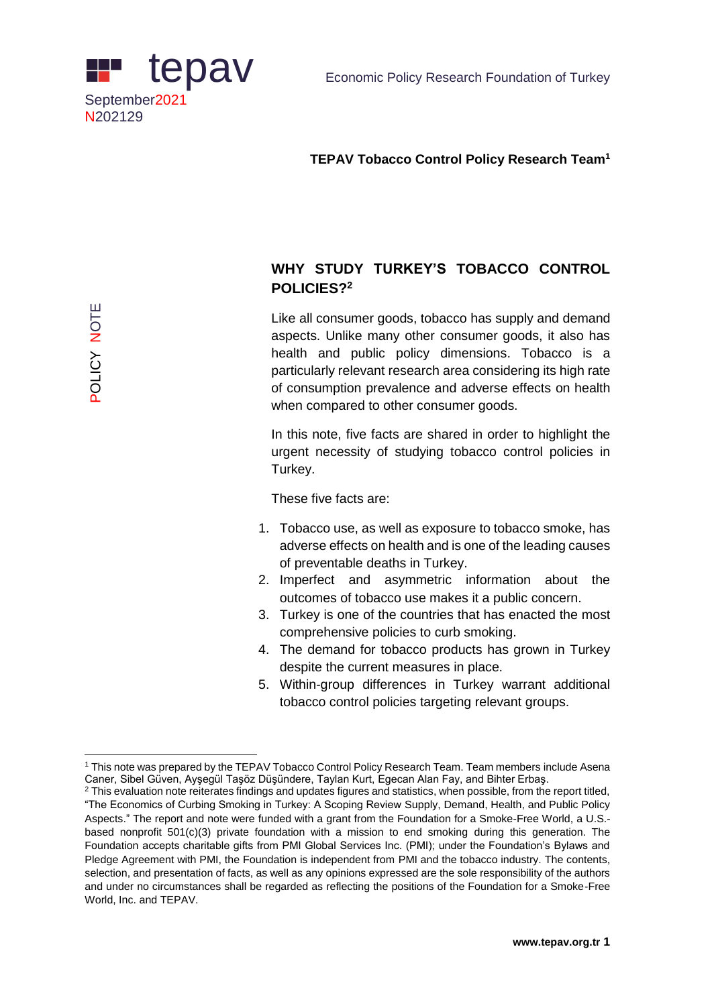

### **TEPAV Tobacco Control Policy Research Team<sup>1</sup>**

# **WHY STUDY TURKEY'S TOBACCO CONTROL POLICIES? 2**

Like all consumer goods, tobacco has supply and demand aspects. Unlike many other consumer goods, it also has health and public policy dimensions. Tobacco is a particularly relevant research area considering its high rate of consumption prevalence and adverse effects on health when compared to other consumer goods.

In this note, five facts are shared in order to highlight the urgent necessity of studying tobacco control policies in Turkey.

These five facts are:

- 1. Tobacco use, as well as exposure to tobacco smoke, has adverse effects on health and is one of the leading causes of preventable deaths in Turkey.
- 2. Imperfect and asymmetric information about the outcomes of tobacco use makes it a public concern.
- 3. Turkey is one of the countries that has enacted the most comprehensive policies to curb smoking.
- 4. The demand for tobacco products has grown in Turkey despite the current measures in place.
- 5. Within-group differences in Turkey warrant additional tobacco control policies targeting relevant groups.

 $\overline{a}$ <sup>1</sup> This note was prepared by the TEPAV Tobacco Control Policy Research Team. Team members include Asena Caner, Sibel Güven, Ayşegül Taşöz Düşündere, Taylan Kurt, Egecan Alan Fay, and Bihter Erbaş.

<sup>&</sup>lt;sup>2</sup> This evaluation note reiterates findings and updates figures and statistics, when possible, from the report titled, "The Economics of Curbing Smoking in Turkey: A Scoping Review Supply, Demand, Health, and Public Policy Aspects." The report and note were funded with a grant from the Foundation for a Smoke-Free World, a U.S. based nonprofit 501(c)(3) private foundation with a mission to end smoking during this generation. The Foundation accepts charitable gifts from PMI Global Services Inc. (PMI); under the Foundation's Bylaws and Pledge Agreement with PMI, the Foundation is independent from PMI and the tobacco industry. The contents, selection, and presentation of facts, as well as any opinions expressed are the sole responsibility of the authors and under no circumstances shall be regarded as reflecting the positions of the Foundation for a Smoke-Free World, Inc. and TEPAV.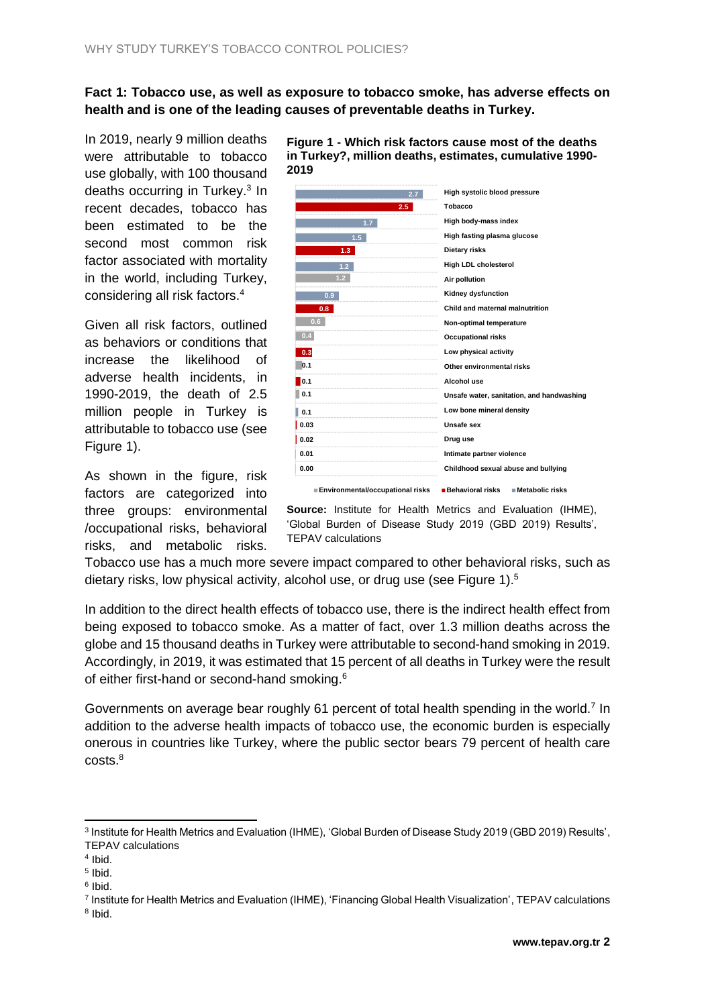### **Fact 1: Tobacco use, as well as exposure to tobacco smoke, has adverse effects on health and is one of the leading causes of preventable deaths in Turkey.**

**2019**

In 2019, nearly 9 million deaths were attributable to tobacco use globally, with 100 thousand deaths occurring in Turkey.<sup>3</sup> In recent decades, tobacco has been estimated to be the second most common risk factor associated with mortality in the world, including Turkey, considering all risk factors. 4

Given all risk factors, outlined as behaviors or conditions that increase the likelihood of adverse health incidents, in 1990-2019, the death of 2.5 million people in Turkey is attributable to tobacco use (see [Figure 1\)](#page-1-0).

As shown in the figure, risk factors are categorized into three groups: environmental /occupational risks, behavioral risks, and metabolic risks.

| $2.7^{\circ}$                      | High systolic blood pressure              |  |  |  |
|------------------------------------|-------------------------------------------|--|--|--|
| 2.5                                | <b>Tobacco</b>                            |  |  |  |
| 1.7 <sub>z</sub>                   | High body-mass index                      |  |  |  |
| 1.5                                | High fasting plasma glucose               |  |  |  |
| 1.3 <sub>1</sub>                   | Dietary risks                             |  |  |  |
| 1.2                                | <b>High LDL cholesterol</b>               |  |  |  |
| 1.2 <sub>1</sub>                   | Air pollution                             |  |  |  |
| 0.9                                | Kidney dysfunction                        |  |  |  |
| 0.8                                | Child and maternal malnutrition           |  |  |  |
| 0.6 <sub>1</sub>                   | Non-optimal temperature                   |  |  |  |
| 0.4                                | <b>Occupational risks</b>                 |  |  |  |
| 0.3                                | Low physical activity                     |  |  |  |
| 0.1                                | Other environmental risks                 |  |  |  |
| 0.1                                | Alcohol use                               |  |  |  |
| 0.1                                | Unsafe water, sanitation, and handwashing |  |  |  |
| 0.1                                | Low bone mineral density                  |  |  |  |
| 0.03                               | Unsafe sex                                |  |  |  |
| 0.02                               | Drug use                                  |  |  |  |
| 0.01                               | Intimate partner violence                 |  |  |  |
| 0.00                               | Childhood sexual abuse and bullying       |  |  |  |
| ■ Environmental/occupational risks | ■ Behavioral risks<br>■ Metabolic risks   |  |  |  |

<span id="page-1-0"></span>**Figure 1 - Which risk factors cause most of the deaths in Turkey?, million deaths, estimates, cumulative 1990-**

**Source:** Institute for Health Metrics and Evaluation (IHME), 'Global Burden of Disease Study 2019 (GBD 2019) Results', TEPAV calculations

Tobacco use has a much more severe impact compared to other behavioral risks, such as dietary risks, low physical activity, alcohol use, or drug use (se[e Figure 1\)](#page-1-0).<sup>5</sup>

In addition to the direct health effects of tobacco use, there is the indirect health effect from being exposed to tobacco smoke. As a matter of fact, over 1.3 million deaths across the globe and 15 thousand deaths in Turkey were attributable to second-hand smoking in 2019. Accordingly, in 2019, it was estimated that 15 percent of all deaths in Turkey were the result of either first-hand or second-hand smoking.<sup>6</sup>

Governments on average bear roughly 61 percent of total health spending in the world.<sup>7</sup> In addition to the adverse health impacts of tobacco use, the economic burden is especially onerous in countries like Turkey, where the public sector bears 79 percent of health care costs. 8

 3 Institute for Health Metrics and Evaluation (IHME), 'Global Burden of Disease Study 2019 (GBD 2019) Results', TEPAV calculations

<sup>4</sup> Ibid.

<sup>5</sup> Ibid.

<sup>&</sup>lt;sup>6</sup> Ibid.

<sup>7</sup> Institute for Health Metrics and Evaluation (IHME), 'Financing Global Health Visualization', TEPAV calculations <sup>8</sup> Ibid.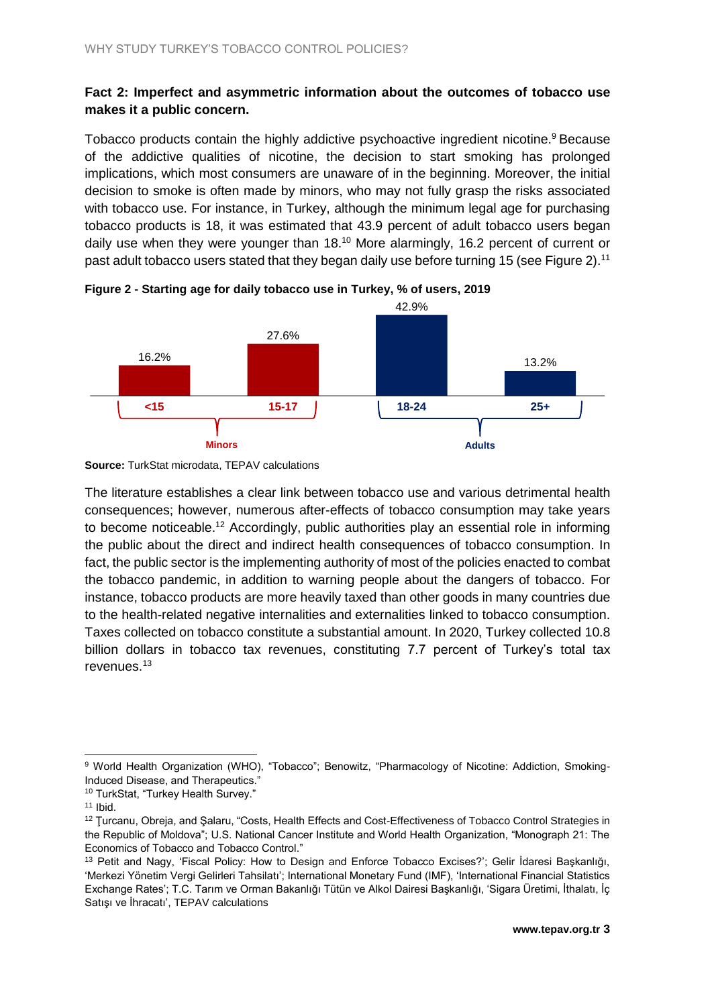## **Fact 2: Imperfect and asymmetric information about the outcomes of tobacco use makes it a public concern.**

Tobacco products contain the highly addictive psychoactive ingredient nicotine.<sup>9</sup> Because of the addictive qualities of nicotine, the decision to start smoking has prolonged implications, which most consumers are unaware of in the beginning. Moreover, the initial decision to smoke is often made by minors, who may not fully grasp the risks associated with tobacco use. For instance, in Turkey, although the minimum legal age for purchasing tobacco products is 18, it was estimated that 43.9 percent of adult tobacco users began daily use when they were younger than 18.<sup>10</sup> More alarmingly, 16.2 percent of current or past adult tobacco users stated that they began daily use before turning 15 (see [Figure 2\)](#page-2-0).<sup>11</sup>



<span id="page-2-0"></span>

The literature establishes a clear link between tobacco use and various detrimental health consequences; however, numerous after-effects of tobacco consumption may take years to become noticeable.<sup>12</sup> Accordingly, public authorities play an essential role in informing the public about the direct and indirect health consequences of tobacco consumption. In fact, the public sector is the implementing authority of most of the policies enacted to combat the tobacco pandemic, in addition to warning people about the dangers of tobacco. For instance, tobacco products are more heavily taxed than other goods in many countries due to the health-related negative internalities and externalities linked to tobacco consumption. Taxes collected on tobacco constitute a substantial amount. In 2020, Turkey collected 10.8 billion dollars in tobacco tax revenues, constituting 7.7 percent of Turkey's total tax revenues.<sup>13</sup>

**Source:** TurkStat microdata, TEPAV calculations

 $\overline{a}$ <sup>9</sup> World Health Organization (WHO), "Tobacco"; Benowitz, "Pharmacology of Nicotine: Addiction, Smoking-Induced Disease, and Therapeutics."

<sup>10</sup> TurkStat, "Turkey Health Survey."

 $11$  Ibid.

<sup>12</sup> Turcanu, Obreja, and Şalaru, "Costs, Health Effects and Cost-Effectiveness of Tobacco Control Strategies in the Republic of Moldova"; U.S. National Cancer Institute and World Health Organization, "Monograph 21: The Economics of Tobacco and Tobacco Control."

<sup>13</sup> Petit and Nagy, 'Fiscal Policy: How to Design and Enforce Tobacco Excises?'; Gelir İdaresi Başkanlığı, 'Merkezi Yönetim Vergi Gelirleri Tahsilatı'; International Monetary Fund (IMF), 'International Financial Statistics Exchange Rates'; T.C. Tarım ve Orman Bakanlığı Tütün ve Alkol Dairesi Başkanlığı, 'Sigara Üretimi, İthalatı, İç Satışı ve İhracatı', TEPAV calculations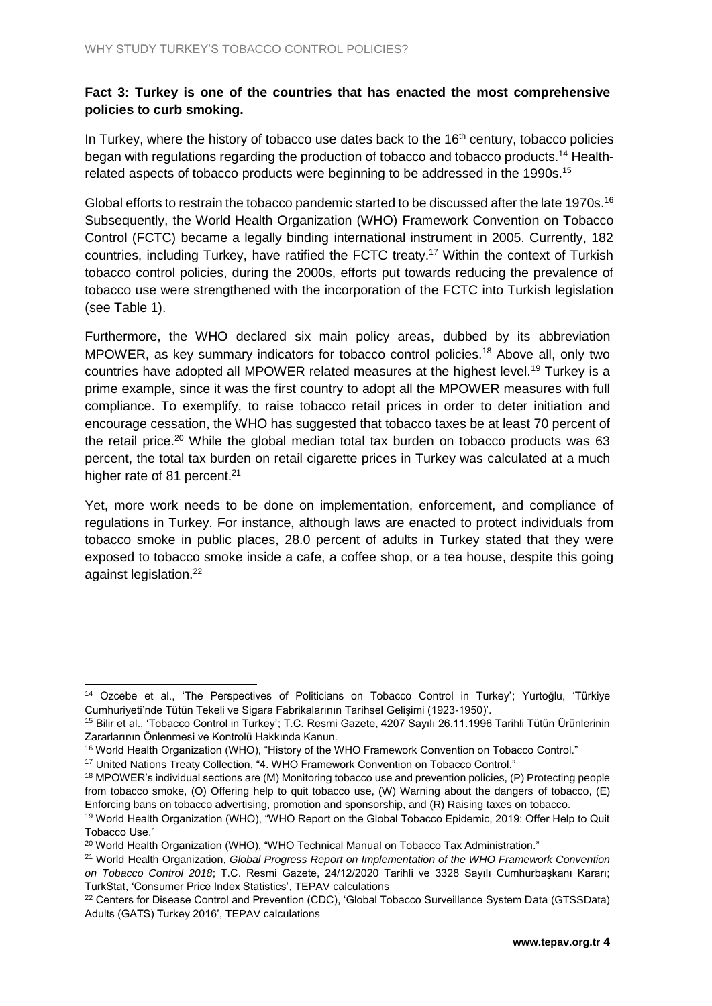## **Fact 3: Turkey is one of the countries that has enacted the most comprehensive policies to curb smoking.**

In Turkey, where the history of tobacco use dates back to the  $16<sup>th</sup>$  century, tobacco policies began with regulations regarding the production of tobacco and tobacco products.<sup>14</sup> Healthrelated aspects of tobacco products were beginning to be addressed in the 1990s.<sup>15</sup>

Global efforts to restrain the tobacco pandemic started to be discussed after the late 1970s.<sup>16</sup> Subsequently, the World Health Organization (WHO) Framework Convention on Tobacco Control (FCTC) became a legally binding international instrument in 2005. Currently, 182 countries, including Turkey, have ratified the FCTC treaty.<sup>17</sup> Within the context of Turkish tobacco control policies, during the 2000s, efforts put towards reducing the prevalence of tobacco use were strengthened with the incorporation of the FCTC into Turkish legislation (see [Table 1\)](#page-4-0).

Furthermore, the WHO declared six main policy areas, dubbed by its abbreviation MPOWER, as key summary indicators for tobacco control policies. <sup>18</sup> Above all, only two countries have adopted all MPOWER related measures at the highest level.<sup>19</sup> Turkey is a prime example, since it was the first country to adopt all the MPOWER measures with full compliance. To exemplify, to raise tobacco retail prices in order to deter initiation and encourage cessation, the WHO has suggested that tobacco taxes be at least 70 percent of the retail price.<sup>20</sup> While the global median total tax burden on tobacco products was 63 percent, the total tax burden on retail cigarette prices in Turkey was calculated at a much higher rate of 81 percent. $21$ 

Yet, more work needs to be done on implementation, enforcement, and compliance of regulations in Turkey. For instance, although laws are enacted to protect individuals from tobacco smoke in public places, 28.0 percent of adults in Turkey stated that they were exposed to tobacco smoke inside a cafe, a coffee shop, or a tea house, despite this going against legislation. 22

 <sup>14</sup> Ozcebe et al., 'The Perspectives of Politicians on Tobacco Control in Turkey'; Yurtoğlu, 'Türkiye Cumhuriyeti'nde Tütün Tekeli ve Sigara Fabrikalarının Tarihsel Gelişimi (1923-1950)'.

<sup>15</sup> Bilir et al., 'Tobacco Control in Turkey'; T.C. Resmi Gazete, 4207 Sayılı 26.11.1996 Tarihli Tütün Ürünlerinin Zararlarının Önlenmesi ve Kontrolü Hakkında Kanun.

<sup>16</sup> World Health Organization (WHO), "History of the WHO Framework Convention on Tobacco Control."

<sup>&</sup>lt;sup>17</sup> United Nations Treaty Collection, "4. WHO Framework Convention on Tobacco Control."

<sup>18</sup> MPOWER's individual sections are (M) Monitoring tobacco use and prevention policies, (P) Protecting people from tobacco smoke, (O) Offering help to quit tobacco use, (W) Warning about the dangers of tobacco, (E) Enforcing bans on tobacco advertising, promotion and sponsorship, and (R) Raising taxes on tobacco.

<sup>19</sup> World Health Organization (WHO), "WHO Report on the Global Tobacco Epidemic, 2019: Offer Help to Quit Tobacco Use."

<sup>&</sup>lt;sup>20</sup> World Health Organization (WHO), "WHO Technical Manual on Tobacco Tax Administration."

<sup>21</sup> World Health Organization, *Global Progress Report on Implementation of the WHO Framework Convention on Tobacco Control 2018*; T.C. Resmi Gazete, 24/12/2020 Tarihli ve 3328 Sayılı Cumhurbaşkanı Kararı; TurkStat, 'Consumer Price Index Statistics', TEPAV calculations

<sup>&</sup>lt;sup>22</sup> Centers for Disease Control and Prevention (CDC), 'Global Tobacco Surveillance System Data (GTSSData) Adults (GATS) Turkey 2016', TEPAV calculations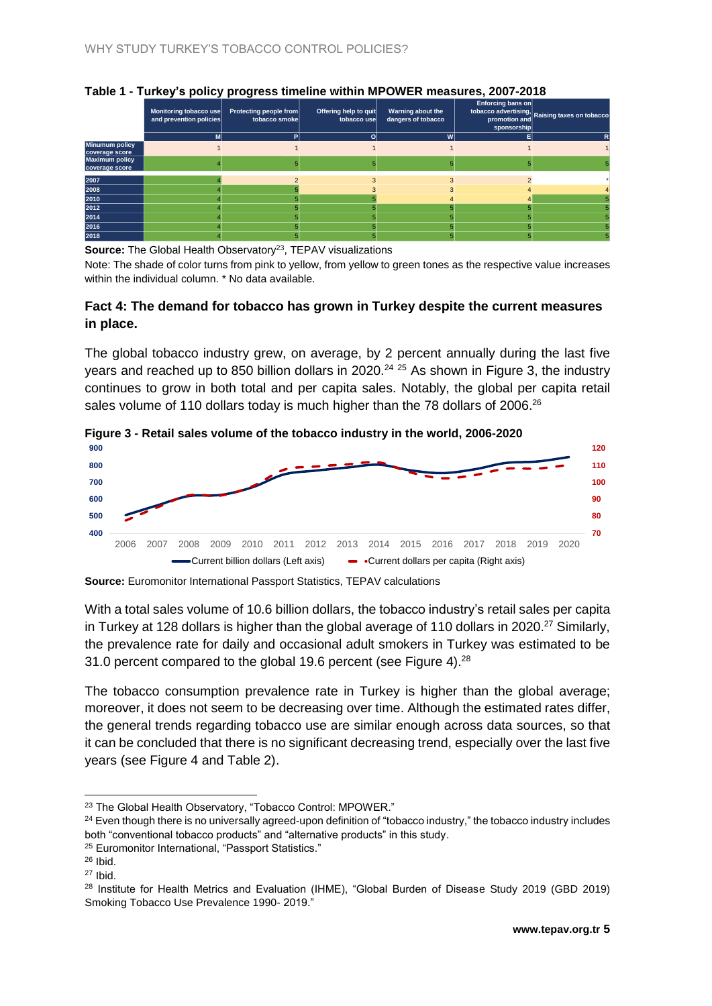|                                         | Monitoring tobacco use<br>and prevention policies | Protecting people from<br>tobacco smoke | Offering help to quit<br>tobacco use | Warning about the<br>dangers of tobacco | Enforcing bans on<br>sponsorship | tobacco advertising, Raising taxes on tobacco |
|-----------------------------------------|---------------------------------------------------|-----------------------------------------|--------------------------------------|-----------------------------------------|----------------------------------|-----------------------------------------------|
|                                         | M                                                 | P                                       | ol                                   | W                                       | F                                |                                               |
| <b>Minumum policy</b><br>coverage score |                                                   |                                         |                                      |                                         |                                  |                                               |
| <b>Maximum policy</b><br>coverage score |                                                   |                                         |                                      |                                         |                                  |                                               |
| 2007                                    |                                                   |                                         |                                      |                                         |                                  |                                               |
| 2008                                    |                                                   |                                         |                                      |                                         |                                  |                                               |
| 2010                                    |                                                   |                                         |                                      |                                         |                                  |                                               |
| 2012                                    |                                                   |                                         |                                      |                                         |                                  |                                               |
| 2014                                    |                                                   |                                         |                                      |                                         |                                  |                                               |
| 2016                                    |                                                   |                                         |                                      |                                         |                                  |                                               |
| 2018                                    |                                                   |                                         |                                      |                                         |                                  |                                               |

#### <span id="page-4-0"></span>**Table 1 - Turkey's policy progress timeline within MPOWER measures, 2007-2018**

**Source:** The Global Health Observatory<sup>23</sup>, TEPAV visualizations

Note: The shade of color turns from pink to yellow, from yellow to green tones as the respective value increases within the individual column. \* No data available.

#### **Fact 4: The demand for tobacco has grown in Turkey despite the current measures in place.**

The global tobacco industry grew, on average, by 2 percent annually during the last five years and reached up to 850 billion dollars in 2020.<sup>24 25</sup> As shown in [Figure 3,](#page-4-1) the industry continues to grow in both total and per capita sales. Notably, the global per capita retail sales volume of 110 dollars today is much higher than the 78 dollars of 2006.<sup>26</sup>



<span id="page-4-1"></span>**Figure 3 - Retail sales volume of the tobacco industry in the world, 2006-2020**

With a total sales volume of 10.6 billion dollars, the tobacco industry's retail sales per capita in Turkey at 128 dollars is higher than the global average of 110 dollars in 2020.<sup>27</sup> Similarly, the prevalence rate for daily and occasional adult smokers in Turkey was estimated to be 31.0 percent compared to the global 19.6 percent (see [Figure 4\)](#page-5-0). $^{28}$ 

The tobacco consumption prevalence rate in Turkey is higher than the global average; moreover, it does not seem to be decreasing over time. Although the estimated rates differ, the general trends regarding tobacco use are similar enough across data sources, so that it can be concluded that there is no significant decreasing trend, especially over the last five years (see Figure 4 and Table 2).

**Source:** Euromonitor International Passport Statistics, TEPAV calculations

 <sup>23</sup> The Global Health Observatory, "Tobacco Control: MPOWER."

 $24$  Even though there is no universally agreed-upon definition of "tobacco industry," the tobacco industry includes both "conventional tobacco products" and "alternative products" in this study.

<sup>25</sup> Euromonitor International, "Passport Statistics."

<sup>26</sup> Ibid.

 $27$  Ibid.

<sup>&</sup>lt;sup>28</sup> Institute for Health Metrics and Evaluation (IHME), "Global Burden of Disease Study 2019 (GBD 2019) Smoking Tobacco Use Prevalence 1990- 2019."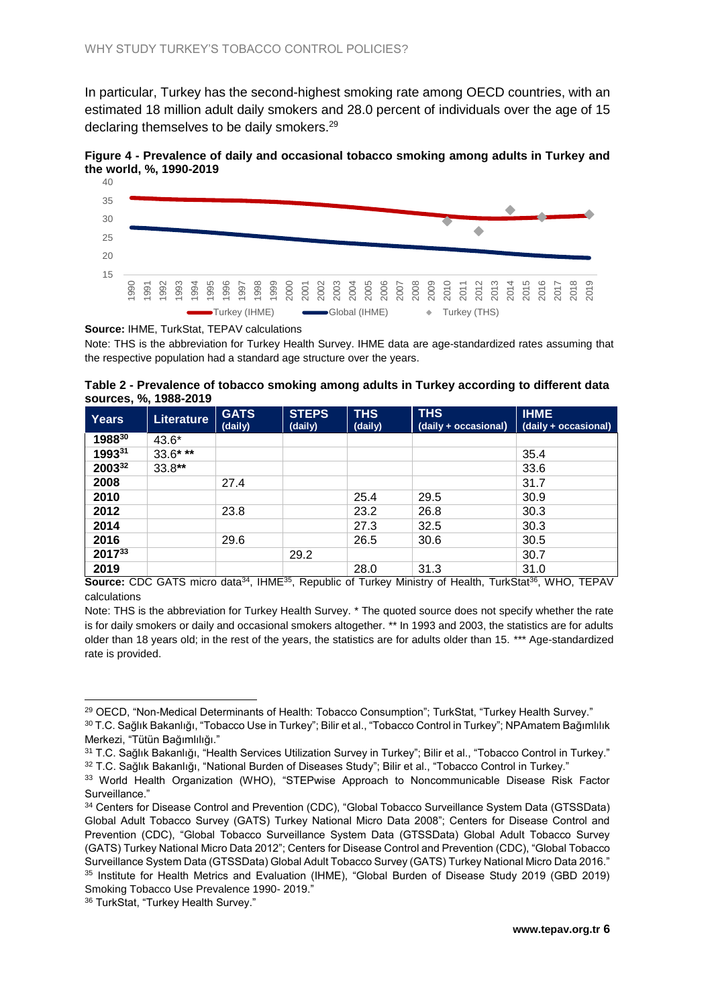In particular, Turkey has the second-highest smoking rate among OECD countries, with an estimated 18 million adult daily smokers and 28.0 percent of individuals over the age of 15 declaring themselves to be daily smokers.<sup>29</sup>

<span id="page-5-0"></span>



**Source:** IHME, TurkStat, TEPAV calculations

Note: THS is the abbreviation for Turkey Health Survey. IHME data are age-standardized rates assuming that the respective population had a standard age structure over the years.

|                       |  | Table 2 - Prevalence of tobacco smoking among adults in Turkey according to different data |  |
|-----------------------|--|--------------------------------------------------------------------------------------------|--|
| sources, %, 1988-2019 |  |                                                                                            |  |

| Years  | Literature | <b>GATS</b><br>(daily) | <b>STEPS</b><br>(daily) | <b>THS</b><br>(daily) | <b>THS</b><br>(daily + occasional) | <b>IHME</b><br>(daily + occasional) |
|--------|------------|------------------------|-------------------------|-----------------------|------------------------------------|-------------------------------------|
| 198830 | 43.6*      |                        |                         |                       |                                    |                                     |
| 199331 | $33.6$ *** |                        |                         |                       |                                    | 35.4                                |
| 200332 | 33.8**     |                        |                         |                       |                                    | 33.6                                |
| 2008   |            | 27.4                   |                         |                       |                                    | 31.7                                |
| 2010   |            |                        |                         | 25.4                  | 29.5                               | 30.9                                |
| 2012   |            | 23.8                   |                         | 23.2                  | 26.8                               | 30.3                                |
| 2014   |            |                        |                         | 27.3                  | 32.5                               | 30.3                                |
| 2016   |            | 29.6                   |                         | 26.5                  | 30.6                               | 30.5                                |
| 201733 |            |                        | 29.2                    |                       |                                    | 30.7                                |
| 2019   |            |                        |                         | 28.0                  | 31.3                               | 31.0                                |

**Source:** CDC GATS micro data<sup>34</sup>, IHME<sup>35</sup>, Republic of Turkey Ministry of Health, TurkStat<sup>36</sup>, WHO, TEPAV calculations

Note: THS is the abbreviation for Turkey Health Survey. \* The quoted source does not specify whether the rate is for daily smokers or daily and occasional smokers altogether. \*\* In 1993 and 2003, the statistics are for adults older than 18 years old; in the rest of the years, the statistics are for adults older than 15. \*\*\* Age-standardized rate is provided.

<sup>&</sup>lt;sup>29</sup> OECD, "Non-Medical Determinants of Health: Tobacco Consumption": TurkStat, "Turkey Health Survey." <sup>30</sup> T.C. Sağlık Bakanlığı, "Tobacco Use in Turkey"; Bilir et al., "Tobacco Control in Turkey"; NPAmatem Bağımlılık

Merkezi, "Tütün Bağımlılığı."

<sup>31</sup> T.C. Sağlık Bakanlığı, "Health Services Utilization Survey in Turkey"; Bilir et al., "Tobacco Control in Turkey."

<sup>32</sup> T.C. Sağlık Bakanlığı, "National Burden of Diseases Study"; Bilir et al., "Tobacco Control in Turkey."

<sup>33</sup> World Health Organization (WHO), "STEPwise Approach to Noncommunicable Disease Risk Factor Surveillance."

<sup>34</sup> Centers for Disease Control and Prevention (CDC), "Global Tobacco Surveillance System Data (GTSSData) Global Adult Tobacco Survey (GATS) Turkey National Micro Data 2008"; Centers for Disease Control and Prevention (CDC), "Global Tobacco Surveillance System Data (GTSSData) Global Adult Tobacco Survey (GATS) Turkey National Micro Data 2012"; Centers for Disease Control and Prevention (CDC), "Global Tobacco Surveillance System Data (GTSSData) Global Adult Tobacco Survey (GATS) Turkey National Micro Data 2016." <sup>35</sup> Institute for Health Metrics and Evaluation (IHME), "Global Burden of Disease Study 2019 (GBD 2019) Smoking Tobacco Use Prevalence 1990- 2019."

<sup>36</sup> TurkStat, "Turkey Health Survey."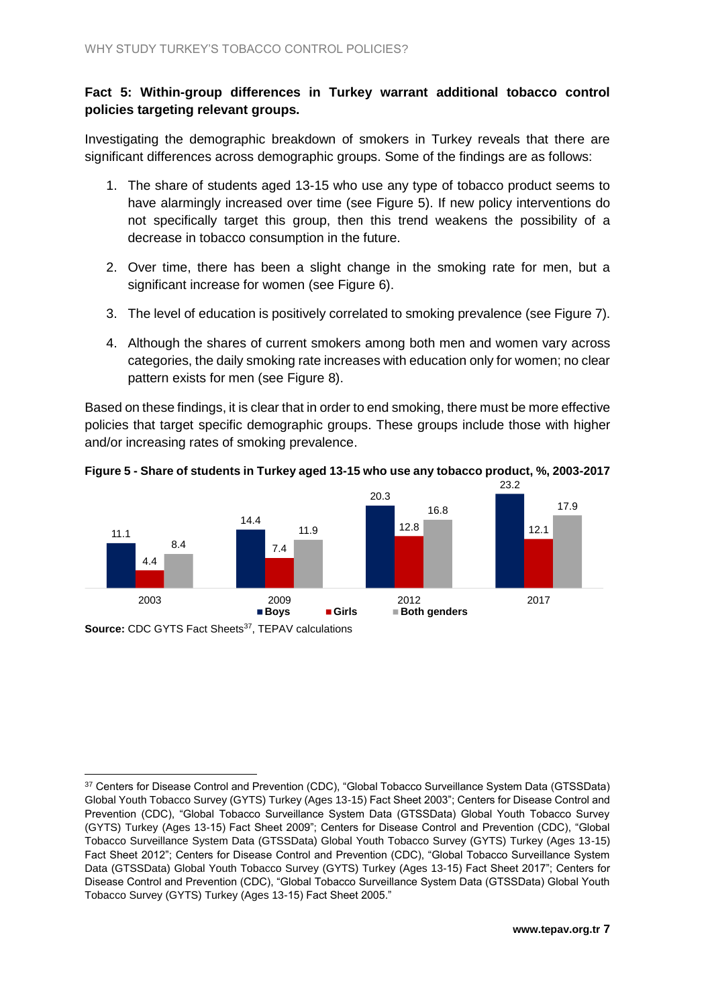## **Fact 5: Within-group differences in Turkey warrant additional tobacco control policies targeting relevant groups.**

Investigating the demographic breakdown of smokers in Turkey reveals that there are significant differences across demographic groups. Some of the findings are as follows:

- 1. The share of students aged 13-15 who use any type of tobacco product seems to have alarmingly increased over time (see Figure 5). If new policy interventions do not specifically target this group, then this trend weakens the possibility of a decrease in tobacco consumption in the future.
- 2. Over time, there has been a slight change in the smoking rate for men, but a significant increase for women (see [Figure 6\)](#page-7-0).
- 3. The level of education is positively correlated to smoking prevalence (se[e Figure 7\)](#page-7-1).
- 4. Although the shares of current smokers among both men and women vary across categories, the daily smoking rate increases with education only for women; no clear pattern exists for men (see [Figure 8\)](#page-7-2).

Based on these findings, it is clear that in order to end smoking, there must be more effective policies that target specific demographic groups. These groups include those with higher and/or increasing rates of smoking prevalence.





**Source:** CDC GYTS Fact Sheets<sup>37</sup>, TEPAV calculations

<sup>&</sup>lt;sup>37</sup> Centers for Disease Control and Prevention (CDC), "Global Tobacco Surveillance System Data (GTSSData) Global Youth Tobacco Survey (GYTS) Turkey (Ages 13-15) Fact Sheet 2003"; Centers for Disease Control and Prevention (CDC), "Global Tobacco Surveillance System Data (GTSSData) Global Youth Tobacco Survey (GYTS) Turkey (Ages 13-15) Fact Sheet 2009"; Centers for Disease Control and Prevention (CDC), "Global Tobacco Surveillance System Data (GTSSData) Global Youth Tobacco Survey (GYTS) Turkey (Ages 13-15) Fact Sheet 2012"; Centers for Disease Control and Prevention (CDC), "Global Tobacco Surveillance System Data (GTSSData) Global Youth Tobacco Survey (GYTS) Turkey (Ages 13-15) Fact Sheet 2017"; Centers for Disease Control and Prevention (CDC), "Global Tobacco Surveillance System Data (GTSSData) Global Youth Tobacco Survey (GYTS) Turkey (Ages 13-15) Fact Sheet 2005."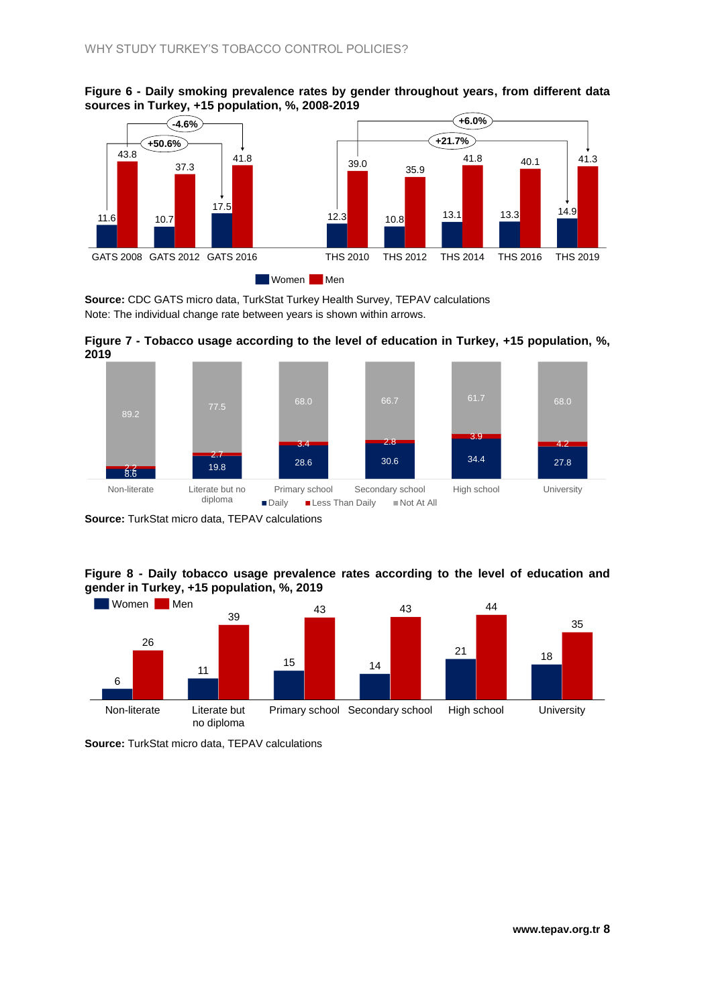<span id="page-7-0"></span>



**Source:** CDC GATS micro data, TurkStat Turkey Health Survey, TEPAV calculations Note: The individual change rate between years is shown within arrows.

<span id="page-7-1"></span>



**Source:** TurkStat micro data, TEPAV calculations

#### <span id="page-7-2"></span>**Figure 8 - Daily tobacco usage prevalence rates according to the level of education and gender in Turkey, +15 population, %, 2019**



**Source:** TurkStat micro data, TEPAV calculations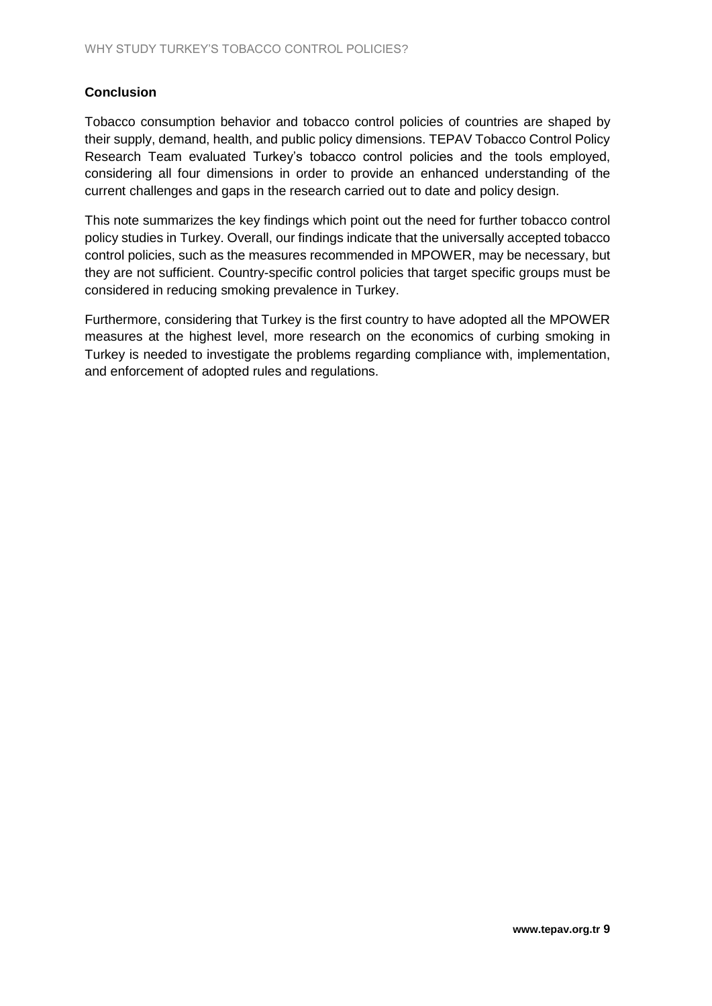### **Conclusion**

Tobacco consumption behavior and tobacco control policies of countries are shaped by their supply, demand, health, and public policy dimensions. TEPAV Tobacco Control Policy Research Team evaluated Turkey's tobacco control policies and the tools employed, considering all four dimensions in order to provide an enhanced understanding of the current challenges and gaps in the research carried out to date and policy design.

This note summarizes the key findings which point out the need for further tobacco control policy studies in Turkey. Overall, our findings indicate that the universally accepted tobacco control policies, such as the measures recommended in MPOWER, may be necessary, but they are not sufficient. Country-specific control policies that target specific groups must be considered in reducing smoking prevalence in Turkey.

Furthermore, considering that Turkey is the first country to have adopted all the MPOWER measures at the highest level, more research on the economics of curbing smoking in Turkey is needed to investigate the problems regarding compliance with, implementation, and enforcement of adopted rules and regulations.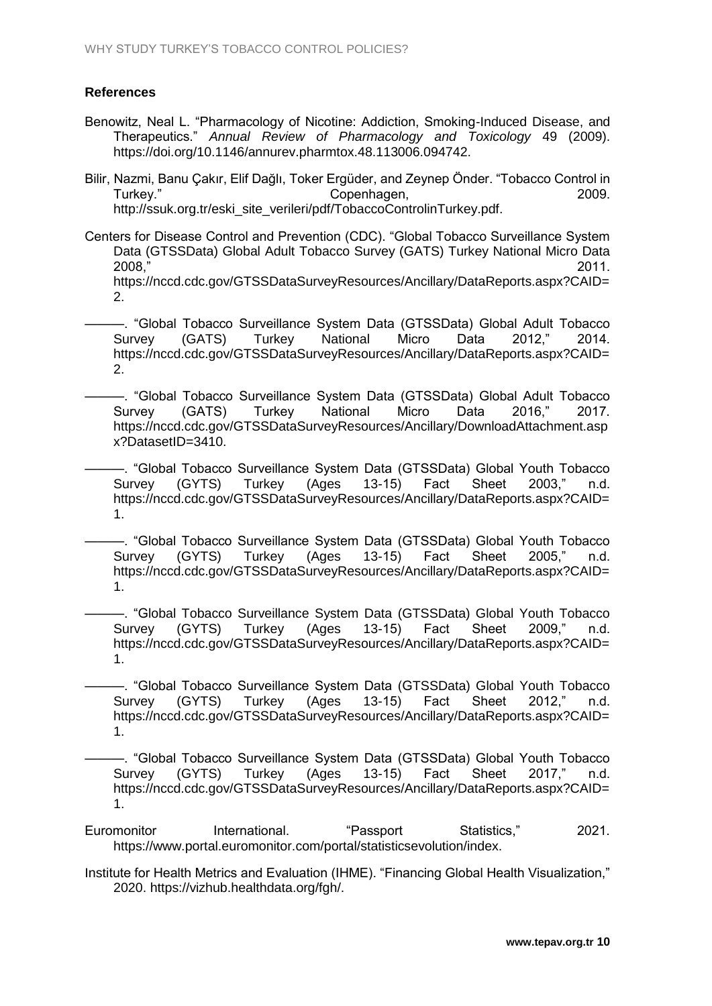#### **References**

- Benowitz, Neal L. "Pharmacology of Nicotine: Addiction, Smoking-Induced Disease, and Therapeutics." *Annual Review of Pharmacology and Toxicology* 49 (2009). https://doi.org/10.1146/annurev.pharmtox.48.113006.094742.
- Bilir, Nazmi, Banu Çakır, Elif Dağlı, Toker Ergüder, and Zeynep Önder. "Tobacco Control in Turkey." Copenhagen, 2009. http://ssuk.org.tr/eski\_site\_verileri/pdf/TobaccoControlinTurkey.pdf.
- Centers for Disease Control and Prevention (CDC). "Global Tobacco Surveillance System Data (GTSSData) Global Adult Tobacco Survey (GATS) Turkey National Micro Data 2008," 2011. https://nccd.cdc.gov/GTSSDataSurveyResources/Ancillary/DataReports.aspx?CAID= 2.
- ———. "Global Tobacco Surveillance System Data (GTSSData) Global Adult Tobacco Survey (GATS) Turkey National Micro Data 2012," 2014. https://nccd.cdc.gov/GTSSDataSurveyResources/Ancillary/DataReports.aspx?CAID= 2.
- ———. "Global Tobacco Surveillance System Data (GTSSData) Global Adult Tobacco Survey (GATS) Turkey National Micro Data 2016," 2017. https://nccd.cdc.gov/GTSSDataSurveyResources/Ancillary/DownloadAttachment.asp x?DatasetID=3410.
- ———. "Global Tobacco Surveillance System Data (GTSSData) Global Youth Tobacco Survey (GYTS) Turkey (Ages 13-15) Fact Sheet 2003," n.d. https://nccd.cdc.gov/GTSSDataSurveyResources/Ancillary/DataReports.aspx?CAID= 1.
- ———. "Global Tobacco Surveillance System Data (GTSSData) Global Youth Tobacco Survey (GYTS) Turkey (Ages 13-15) Fact Sheet 2005," n.d. https://nccd.cdc.gov/GTSSDataSurveyResources/Ancillary/DataReports.aspx?CAID= 1.
	- ———. "Global Tobacco Surveillance System Data (GTSSData) Global Youth Tobacco Survey (GYTS) Turkey (Ages 13-15) Fact Sheet 2009," n.d. https://nccd.cdc.gov/GTSSDataSurveyResources/Ancillary/DataReports.aspx?CAID= 1.
- ———. "Global Tobacco Surveillance System Data (GTSSData) Global Youth Tobacco Survey (GYTS) Turkey (Ages 13-15) Fact Sheet 2012," n.d. https://nccd.cdc.gov/GTSSDataSurveyResources/Ancillary/DataReports.aspx?CAID= 1.
- ———. "Global Tobacco Surveillance System Data (GTSSData) Global Youth Tobacco Survey (GYTS) Turkey (Ages 13-15) Fact Sheet 2017," n.d. https://nccd.cdc.gov/GTSSDataSurveyResources/Ancillary/DataReports.aspx?CAID= 1.
- Euromonitor International. "Passport Statistics." 2021. https://www.portal.euromonitor.com/portal/statisticsevolution/index.
- Institute for Health Metrics and Evaluation (IHME). "Financing Global Health Visualization," 2020. https://vizhub.healthdata.org/fgh/.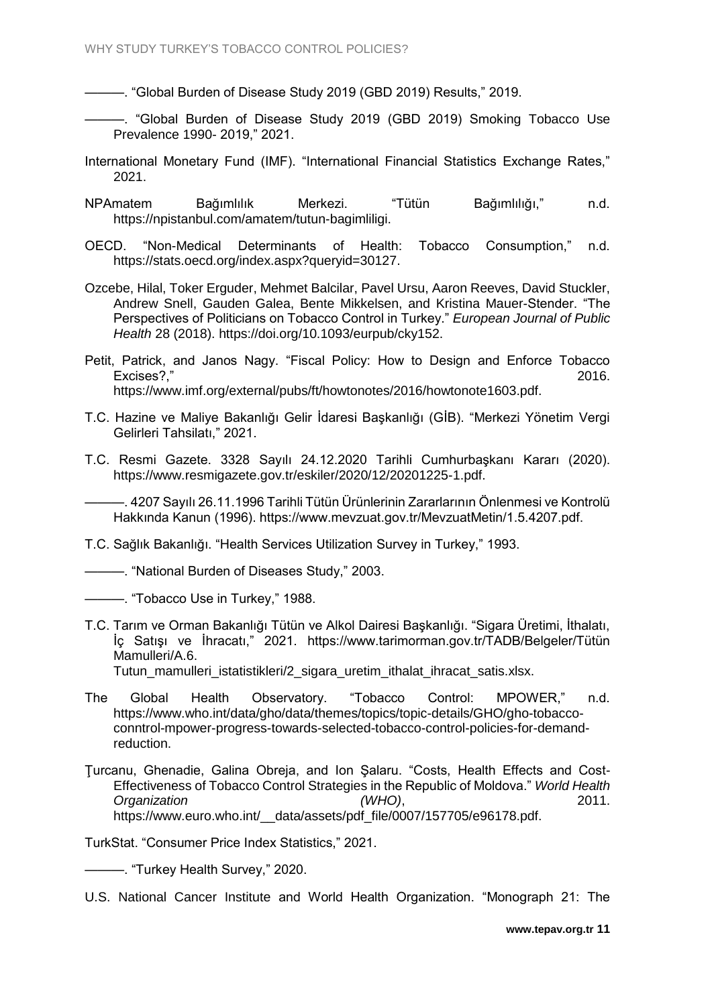———. "Global Burden of Disease Study 2019 (GBD 2019) Results," 2019.

———. "Global Burden of Disease Study 2019 (GBD 2019) Smoking Tobacco Use Prevalence 1990- 2019," 2021.

- International Monetary Fund (IMF). "International Financial Statistics Exchange Rates," 2021.
- NPAmatem Bağımlılık Merkezi. "Tütün Bağımlılığı," n.d. https://npistanbul.com/amatem/tutun-bagimliligi.
- OECD. "Non-Medical Determinants of Health: Tobacco Consumption," n.d. https://stats.oecd.org/index.aspx?queryid=30127.
- Ozcebe, Hilal, Toker Erguder, Mehmet Balcilar, Pavel Ursu, Aaron Reeves, David Stuckler, Andrew Snell, Gauden Galea, Bente Mikkelsen, and Kristina Mauer-Stender. "The Perspectives of Politicians on Tobacco Control in Turkey." *European Journal of Public Health* 28 (2018). https://doi.org/10.1093/eurpub/cky152.
- Petit, Patrick, and Janos Nagy. "Fiscal Policy: How to Design and Enforce Tobacco Excises?," 2016. https://www.imf.org/external/pubs/ft/howtonotes/2016/howtonote1603.pdf.
- T.C. Hazine ve Maliye Bakanlığı Gelir İdaresi Başkanlığı (GİB). "Merkezi Yönetim Vergi Gelirleri Tahsilatı," 2021.
- T.C. Resmi Gazete. 3328 Sayılı 24.12.2020 Tarihli Cumhurbaşkanı Kararı (2020). https://www.resmigazete.gov.tr/eskiler/2020/12/20201225-1.pdf.

———. 4207 Sayılı 26.11.1996 Tarihli Tütün Ürünlerinin Zararlarının Önlenmesi ve Kontrolü Hakkında Kanun (1996). https://www.mevzuat.gov.tr/MevzuatMetin/1.5.4207.pdf.

T.C. Sağlık Bakanlığı. "Health Services Utilization Survey in Turkey," 1993.

———. "National Burden of Diseases Study," 2003.

———. "Tobacco Use in Turkey," 1988.

T.C. Tarım ve Orman Bakanlığı Tütün ve Alkol Dairesi Başkanlığı. "Sigara Üretimi, İthalatı, İç Satışı ve İhracatı," 2021. https://www.tarimorman.gov.tr/TADB/Belgeler/Tütün Mamulleri/A.6.

Tutun\_mamulleri\_istatistikleri/2\_sigara\_uretim\_ithalat\_ihracat\_satis.xlsx.

- The Global Health Observatory. "Tobacco Control: MPOWER," n.d. https://www.who.int/data/gho/data/themes/topics/topic-details/GHO/gho-tobaccoconntrol-mpower-progress-towards-selected-tobacco-control-policies-for-demandreduction.
- Ţurcanu, Ghenadie, Galina Obreja, and Ion Şalaru. "Costs, Health Effects and Cost-Effectiveness of Tobacco Control Strategies in the Republic of Moldova." *World Health Organization (WHO)*, 2011. https://www.euro.who.int/ data/assets/pdf\_file/0007/157705/e96178.pdf.

TurkStat. "Consumer Price Index Statistics," 2021.

———. "Turkey Health Survey," 2020.

U.S. National Cancer Institute and World Health Organization. "Monograph 21: The